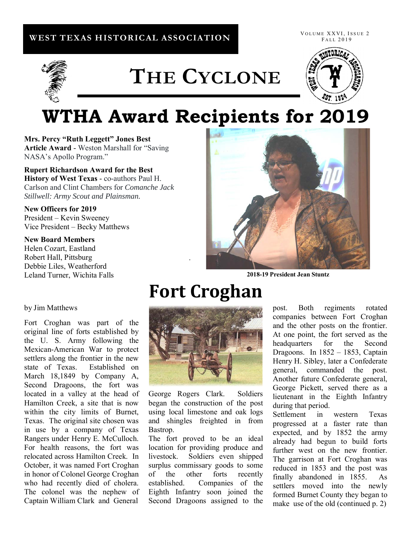#### **WEST TEXAS HISTORICAL ASSOCIATION**

VOLUME XXVI, ISSUE 2 FALL 2019



# **THE CYCLONE**



## **WTHA Award Recipients for 2019**

**Mrs. Percy "Ruth Leggett" Jones Best Article Award** - Weston Marshall for "Saving NASA's Apollo Program."

**Rupert Richardson Award for the Best History of West Texas** - co-authors Paul H. Carlson and Clint Chambers for *Comanche Jack Stillwell: Army Scout and Plainsman.* 

#### **New Officers for 2019**  President – Kevin Sweeney Vice President – Becky Matthews

#### **New Board Members**

Helen Cozart, Eastland Robert Hall, Pittsburg Debbie Liles, Weatherford Leland Turner, Wichita Falls



**2018-19 President Jean Stuntz**

## **Fort Croghan**

.



George Rogers Clark. Soldiers began the construction of the post using local limestone and oak logs and shingles freighted in from Bastrop.

The fort proved to be an ideal location for providing produce and livestock. Soldiers even shipped surplus commissary goods to some of the other forts recently established. Companies of the Eighth Infantry soon joined the Second Dragoons assigned to the

post. Both regiments rotated companies between Fort Croghan and the other posts on the frontier. At one point, the fort served as the headquarters for the Second Dragoons. In 1852 – 1853, Captain Henry H. Sibley, later a Confederate general, commanded the post. Another future Confederate general, George Pickett, served there as a lieutenant in the Eighth Infantry during that period.

Settlement in western Texas progressed at a faster rate than expected, and by 1852 the army already had begun to build forts further west on the new frontier. The garrison at Fort Croghan was reduced in 1853 and the post was finally abandoned in 1855. As settlers moved into the newly formed Burnet County they began to make use of the old (continued p. 2)

#### by Jim Matthews

Fort Croghan was part of the original line of forts established by the U. S. Army following the Mexican-American War to protect settlers along the frontier in the new state of Texas. Established on March 18,1849 by Company A, Second Dragoons, the fort was located in a valley at the head of Hamilton Creek, a site that is now within the city limits of Burnet, Texas. The original site chosen was in use by a company of Texas Rangers under Henry E. McCulloch. For health reasons, the fort was relocated across Hamilton Creek. In October, it was named Fort Croghan in honor of Colonel George Croghan who had recently died of cholera. The colonel was the nephew of Captain William Clark and General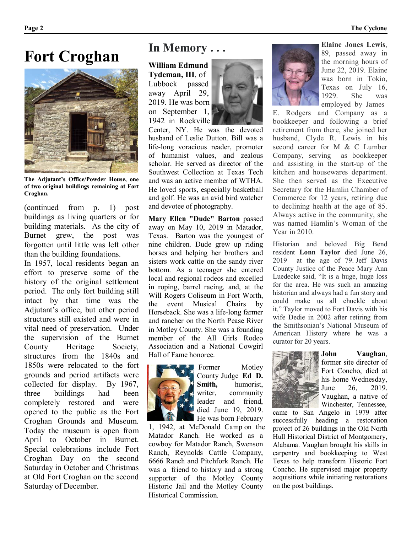### **Fort Croghan**



**The Adjutant's Office/Powder House, one of two original buildings remaining at Fort Croghan.**

(continued from p. 1) post buildings as living quarters or for building materials. As the city of Burnet grew, the post was forgotten until little was left other than the building foundations.

In 1957, local residents began an effort to preserve some of the history of the original settlement period. The only fort building still intact by that time was the Adjutant's office, but other period structures still existed and were in vital need of preservation. Under the supervision of the Burnet County Heritage Society, structures from the 1840s and 1850s were relocated to the fort grounds and period artifacts were collected for display. By 1967, three buildings had been completely restored and were opened to the public as the Fort Croghan Grounds and Museum. Today the museum is open from April to October in Burnet. Special celebrations include Fort Croghan Day on the second Saturday in October and Christmas at Old Fort Croghan on the second Saturday of December.

### **In Memory . . .**

**William Edmund Tydeman, III**, of Lubbock passed away April 29, 2019. He was born on September 1, 1942 in Rockville



Center, NY. He was the devoted husband of Leslie Dutton. Bill was a life-long voracious reader, promoter of humanist values, and zealous scholar. He served as director of the Southwest Collection at Texas Tech and was an active member of WTHA. He loved sports, especially basketball and golf. He was an avid bird watcher and devotee of photography.

**Mary Ellen "Dude" Barton** passed away on May 10, 2019 in Matador, Texas. Barton was the youngest of nine children. Dude grew up riding horses and helping her brothers and sisters work cattle on the sandy river bottom. As a teenager she entered local and regional rodeos and excelled in roping, barrel racing, and, at the Will Rogers Coliseum in Fort Worth, the event Musical Chairs by Horseback. She was a life-long farmer and rancher on the North Pease River in Motley County. She was a founding member of the All Girls Rodeo Association and a National Cowgirl Hall of Fame honoree.



Former Motley County Judge **Ed D. Smith,** humorist, writer, community leader and friend, died June 19, 2019. He was born February

1, 1942, at McDonald Camp on the Matador Ranch. He worked as a cowboy for Matador Ranch, Swenson Ranch, Reynolds Cattle Company, 6666 Ranch and Pitchfork Ranch. He was a friend to history and a strong supporter of the Motley County Historic Jail and the Motley County Historical Commission.



**Elaine Jones Lewis**, 89, passed away in the morning hours of June 22, 2019. Elaine was born in Tokio, Texas on July 16, 1929. She was employed by James

E. Rodgers and Company as a bookkeeper and following a brief retirement from there, she joined her husband, Clyde R. Lewis in his second career for M & C Lumber Company, serving as bookkeeper and assisting in the start-up of the kitchen and housewares department. She then served as the Executive Secretary for the Hamlin Chamber of Commerce for 12 years, retiring due to declining health at the age of 85. Always active in the community, she was named Hamlin's Woman of the Year in 2010.

Historian and beloved Big Bend resident **Lonn Taylor** died June 26, 2019 at the age of 79. Jeff Davis County Justice of the Peace Mary Ann Luedecke said, "It is a huge, huge loss for the area. He was such an amazing historian and always had a fun story and could make us all chuckle about it." Taylor moved to Fort Davis with his wife Dedie in 2002 after retiring from the Smithsonian's National Museum of American History where he was a curator for 20 years.



**John Vaughan**, former site director of Fort Concho, died at his home Wednesday, June 26, 2019. Vaughan, a native of Winchester, Tennessee,

came to San Angelo in 1979 after successfully heading a restoration project of 26 buildings in the Old North Hull Historical District of Montgomery, Alabama. Vaughan brought his skills in carpentry and bookkeeping to West Texas to help transform Historic Fort Concho. He supervised major property acquisitions while initiating restorations on the post buildings.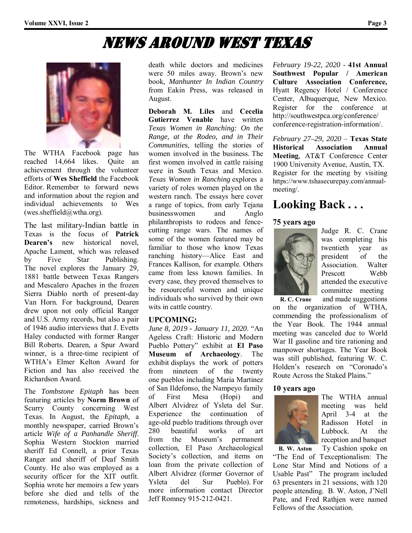## News Around West Texas



The WTHA Facebook page has reached 14,664 likes. Quite an achievement through the volunteer efforts of **Wes Sheffield** the Facebook Editor. Remember to forward news and information about the region and individual achievements to Wes  $(wes. \text{sheffield}(a)$  wtha.org).

The last military-Indian battle in Texas is the focus of **Patrick Dearen's** new historical novel Apache Lament, which was released by Five Star Publishing. The novel explores the January 29, 1881 battle between Texas Rangers and Mescalero Apaches in the frozen Sierra Diablo north of present-day Van Horn. For background, Dearen drew upon not only official Ranger and U.S. Army records, but also a pair of 1946 audio interviews that J. Evetts Haley conducted with former Ranger Bill Roberts. Dearen, a Spur Award winner, is a three-time recipient of WTHA's Elmer Kelton Award for Fiction and has also received the Richardson Award.

The *Tombstone Epitaph* has been featuring articles by **Norm Brown** of Scurry County concerning West Texas. In August, the *Epitaph*, a monthly newspaper, carried Brown's article *Wife of a Panhandle Sheriff*. Sophia Western Stockton married sheriff Ed Connell, a prior Texas Ranger and sheriff of Deaf Smith County. He also was employed as a security officer for the XIT outfit. Sophia wrote her memoirs a few years before she died and tells of the remoteness, hardships, sickness and

death while doctors and medicines were 50 miles away. Brown's new book, *Manhunter In Indian Country* from Eakin Press, was released in August.

**Deborah M. Liles** and **Cecelia Gutierrez Venable** have written *Texas Women in Ranching: On the Range, at the Rodeo, and in Their Communities*, telling the stories of women involved in the business. The first women involved in cattle raising were in South Texas and Mexico. *Texas Women in Ranching* explores a variety of roles women played on the western ranch. The essays here cover a range of topics, from early Tejana businesswomen and Anglo philanthropists to rodeos and fencecutting range wars. The names of some of the women featured may be familiar to those who know Texas ranching history—Alice East and Frances Kallison, for example. Others came from less known families. In every case, they proved themselves to be resourceful women and unique individuals who survived by their own wits in cattle country.

#### **UPCOMING:**

*June 8, 2019 - January 11, 2020*. "An Ageless Craft: Historic and Modern Pueblo Pottery" exhibit at **El Paso Museum of Archaeology**. The exhibit displays the work of potters from nineteen of the twenty one pueblos including Maria Martinez of San Ildefonso, the Nampeyo family of First Mesa (Hopi) and Albert Alvidrez of Ysleta del Sur. Experience the continuation of age-old pueblo traditions through over 280 beautiful works of art from the Museum's permanent collection, El Paso Archaeological Society's collection, and items on loan from the private collection of Albert Alvidrez (former Governor of Ysleta del Sur Pueblo). For more information contact Director Jeff Romney 915-212-0421.

*February 19-22, 2020* - **41st Annual Southwest Popular / American Culture Association Conference,**  Hyatt Regency Hotel / Conference Center, Albuquerque, New Mexico. Register for the conference at http://southwestpca.org/conference/ conference-registration-information/.

*February 27–29, 2020* – **Texas State Historical Association Annual Meeting**, AT&T Conference Center 1900 University Avenue, Austin, TX. Register for the meeting by visiting https://www.tshasecurepay.com/annualmeeting/.

### **Looking Back . . .**

#### **75 years ago**



Judge R. C. Crane was completing his twentieth year as president of the Association. Walter Prescott Webb attended the executive committee meeting

 **R. C. Crane** and made suggestions on the organization of WTHA, commending the professionalism of the Year Book. The 1944 annual meeting was canceled due to World War II gasoline and tire rationing and manpower shortages. The Year Book was still published, featuring W. C. Holden's research on "Coronado's Route Across the Staked Plains."

#### **10 years ago**



The WTHA annual meeting was held April 3-4 at the Radisson Hotel in Lubbock. At the reception and banquet

 **B. W. Aston** Ty Cashion spoke on "The End of Texceptionalism: The Lone Star Mind and Notions of a Usable Past" The program included 63 presenters in 21 sessions, with 120 people attending. B. W. Aston, J'Nell Pate, and Fred Rathjen were named Fellows of the Association.